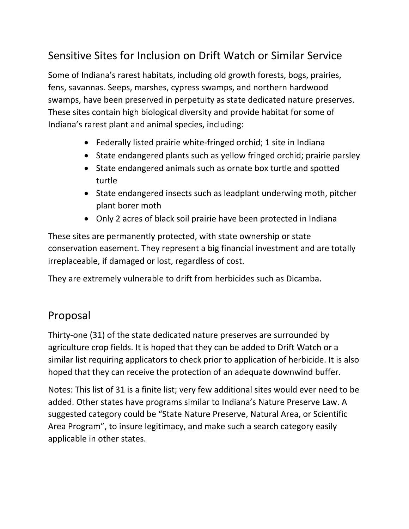## Sensitive Sites for Inclusion on Drift Watch or Similar Service

Some of Indiana's rarest habitats, including old growth forests, bogs, prairies, fens, savannas. Seeps, marshes, cypress swamps, and northern hardwood swamps, have been preserved in perpetuity as state dedicated nature preserves. These sites contain high biological diversity and provide habitat for some of Indiana's rarest plant and animal species, including:

- Federally listed prairie white‐fringed orchid; 1 site in Indiana
- State endangered plants such as yellow fringed orchid; prairie parsley
- State endangered animals such as ornate box turtle and spotted turtle
- State endangered insects such as leadplant underwing moth, pitcher plant borer moth
- Only 2 acres of black soil prairie have been protected in Indiana

These sites are permanently protected, with state ownership or state conservation easement. They represent a big financial investment and are totally irreplaceable, if damaged or lost, regardless of cost.

They are extremely vulnerable to drift from herbicides such as Dicamba.

## Proposal

Thirty‐one (31) of the state dedicated nature preserves are surrounded by agriculture crop fields. It is hoped that they can be added to Drift Watch or a similar list requiring applicators to check prior to application of herbicide. It is also hoped that they can receive the protection of an adequate downwind buffer.

Notes: This list of 31 is a finite list; very few additional sites would ever need to be added. Other states have programs similar to Indiana's Nature Preserve Law. A suggested category could be "State Nature Preserve, Natural Area, or Scientific Area Program", to insure legitimacy, and make such a search category easily applicable in other states.